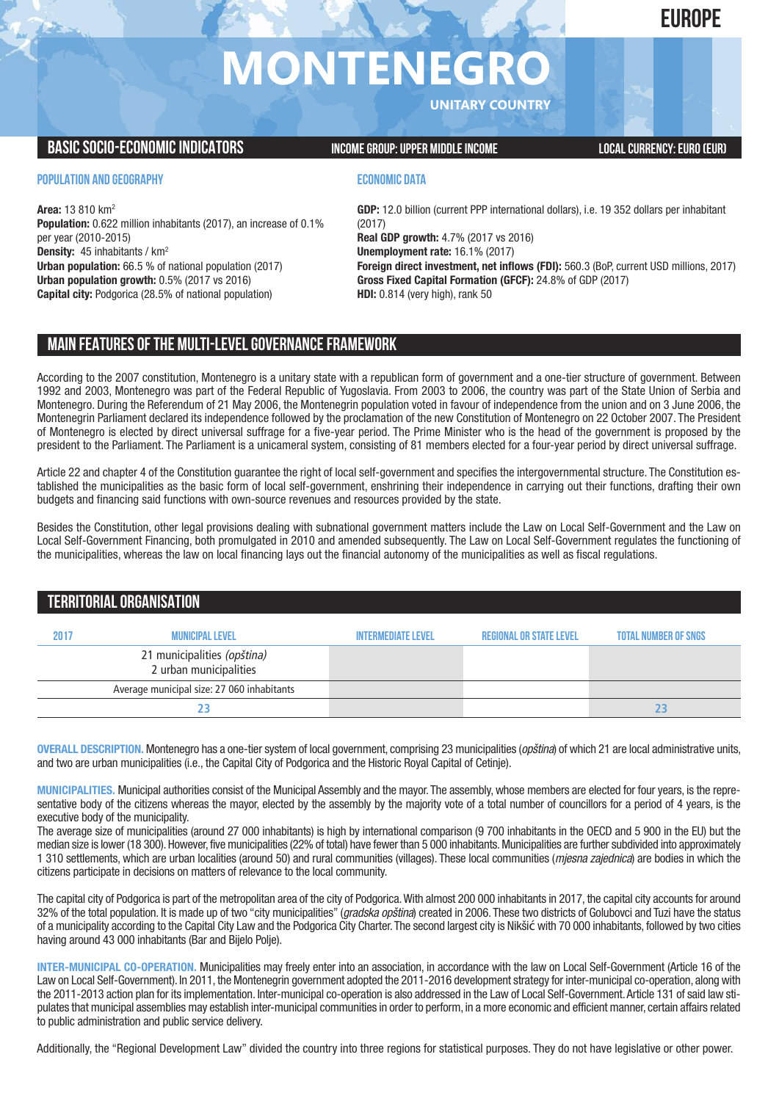## **EUROPE**

# **MONTENEGRO**

**UNITARY COUNTRY**

### **BASIC SOCIO-ECONOMIC INDICATORS INCOME GROUP: UPPER MIDDLE INCOME INCOME LOCAL CURRENCY: EURO (EUR)**

#### **POPULATION AND GEOGRAPHY**

**Area:** 13 810 km2 **Population:** 0.622 million inhabitants (2017), an increase of 0.1% per year (2010-2015) **Density:** 45 inhabitants / km2 **Urban population:** 66.5 % of national population (2017) **Urban population growth:** 0.5% (2017 vs 2016) **Capital city:** Podgorica (28.5% of national population)

#### **ECONOMIC DATA**

**GDP:** 12.0 billion (current PPP international dollars), i.e. 19 352 dollars per inhabitant (2017) **Real GDP growth:** 4.7% (2017 vs 2016) **Unemployment rate:** 16.1% (2017) **Foreign direct investment, net inflows (FDI):** 560.3 (BoP, current USD millions, 2017) **Gross Fixed Capital Formation (GFCF):** 24.8% of GDP (2017) **HDI:** 0.814 (very high), rank 50

## **MAIN FEATURESOFTHE MULTI-LEVELGOVERNANCEFRAMEWORK**

According to the 2007 constitution, Montenegro is a unitary state with a republican form of government and a one-tier structure of government. Between 1992 and 2003, Montenegro was part of the Federal Republic of Yugoslavia. From 2003 to 2006, the country was part of the State Union of Serbia and Montenegro. During the Referendum of 21 May 2006, the Montenegrin population voted in favour of independence from the union and on 3 June 2006, the Montenegrin Parliament declared its independence followed by the proclamation of the new Constitution of Montenegro on 22 October 2007. The President of Montenegro is elected by direct universal suffrage for a five-year period. The Prime Minister who is the head of the government is proposed by the president to the Parliament. The Parliament is a unicameral system, consisting of 81 members elected for a four-year period by direct universal suffrage.

Article 22 and chapter 4 of the Constitution guarantee the right of local self-government and specifies the intergovernmental structure. The Constitution established the municipalities as the basic form of local self-government, enshrining their independence in carrying out their functions, drafting their own budgets and financing said functions with own-source revenues and resources provided by the state.

Besides the Constitution, other legal provisions dealing with subnational government matters include the Law on Local Self-Government and the Law on Local Self-Government Financing, both promulgated in 2010 and amended subsequently. The Law on Local Self-Government regulates the functioning of the municipalities, whereas the law on local financing lays out the financial autonomy of the municipalities as well as fiscal regulations.

## **TERRITORIALORGANISATION**

| 2017 | <b>MUNICIPAL LEVEL</b>                                | <b>INTERMEDIATE LEVEL</b> | <b>REGIONAL OR STATE LEVEL</b> | <b>TOTAL NUMBER OF SNGS</b> |
|------|-------------------------------------------------------|---------------------------|--------------------------------|-----------------------------|
|      | 21 municipalities (opština)<br>2 urban municipalities |                           |                                |                             |
|      | Average municipal size: 27 060 inhabitants            |                           |                                |                             |
|      |                                                       |                           |                                |                             |

**OVERALL DESCRIPTION.** Montenegro has a one-tier system of local government, comprising 23 municipalities (*opština*) of which 21 are local administrative units, and two are urban municipalities (i.e., the Capital City of Podgorica and the Historic Royal Capital of Cetinje).

**MUNICIPALITIES.** Municipal authorities consist of the Municipal Assembly and the mayor. The assembly,whose members are elected for four years, is the representative body of the citizens whereas the mayor, elected by the assembly by the majority vote of a total number of councillors for a period of 4 years, is the executive body of the municipality.

The average size of municipalities (around 27 000 inhabitants) is high by international comparison (9 700 inhabitants in the OECD and 5 900 in the EU) but the median size is lower (18 300). However, five municipalities (22% of total) have fewer than 5 000 inhabitants. Municipalities are further subdivided into approximately 1 310 settlements, which are urban localities (around 50) and rural communities (villages). These local communities (*mjesna zajednica*) are bodies in which the citizens participate in decisions on matters of relevance to the local community.

The capital city of Podgorica is part of the metropolitan area of the city of Podgorica.With almost 200 000 inhabitants in 2017, the capital city accounts for around 32% of the total population. It is made up of two "city municipalities" (*gradska opština*) created in 2006. These two districts of Golubovci and Tuzi have the status of a municipality according to the Capital City Law and the Podgorica City Charter.The second largest city is Nikšić with 70 000 inhabitants, followed by two cities having around 43 000 inhabitants (Bar and Bijelo Polje).

**INTER-MUNICIPAL CO-OPERATION.** Municipalities may freely enter into an association, in accordance with the law on Local Self-Government (Article 16 of the Law on Local Self-Government). In 2011, the Montenegrin government adopted the 2011-2016 development strategy for inter-municipal co-operation, along with the 2011-2013 action plan for its implementation. Inter-municipal co-operation is also addressed in the Law of Local Self-Government.Article 131 of said law stipulates that municipal assemblies may establish inter-municipal communities in order to perform, in a more economic and efficient manner, certain affairs related to public administration and public service delivery.

Additionally, the "Regional Development Law" divided the country into three regions for statistical purposes. They do not have legislative or other power.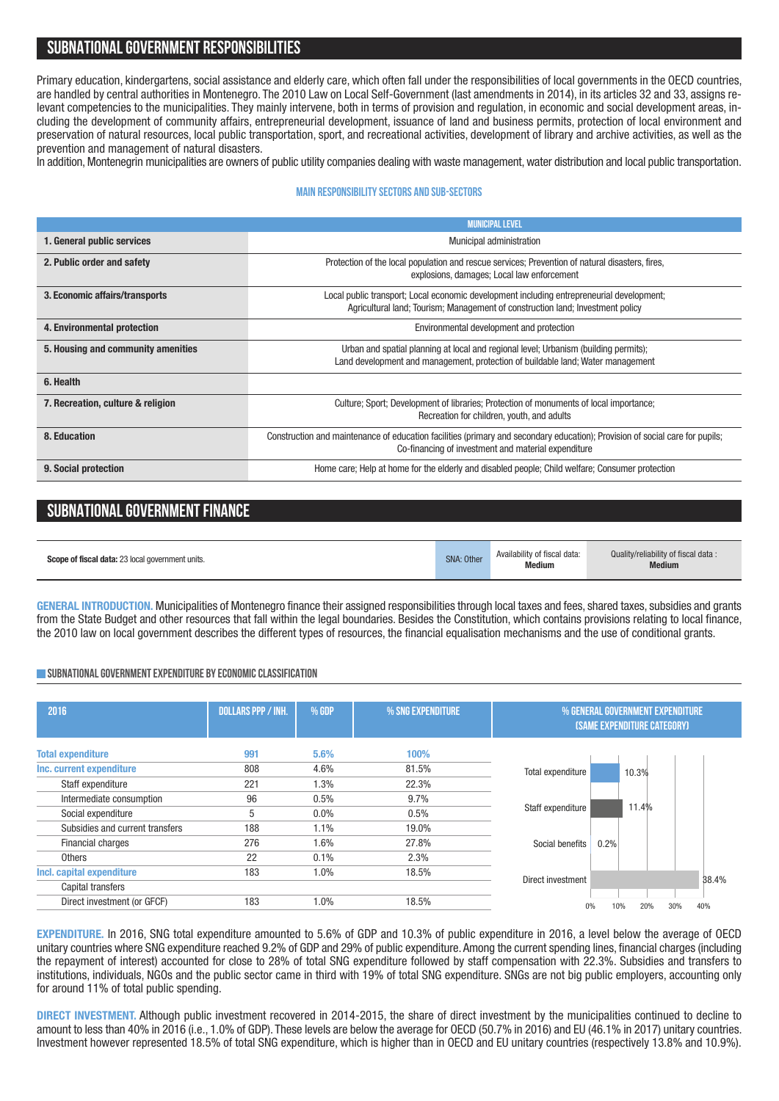## **SUBNATIONALGOVERNMENT RESPONSIBILITIES**

Primary education, kindergartens, social assistance and elderly care, which often fall under the responsibilities of local governments in the OECD countries, are handled by central authorities in Montenegro. The 2010 Law on Local Self-Government (last amendments in 2014), in its articles 32 and 33, assigns relevant competencies to the municipalities. They mainly intervene, both in terms of provision and regulation, in economic and social development areas, including the development of community affairs, entrepreneurial development, issuance of land and business permits, protection of local environment and preservation of natural resources, local public transportation, sport, and recreational activities, development of library and archive activities, as well as the prevention and management of natural disasters.

In addition, Montenegrin municipalities are owners of public utility companies dealing with waste management, water distribution and local public transportation.

#### **Main responsibilitysectors and sub-sectors**

|                                    | <b>MUNICIPAL LEVEL</b>                                                                                                                                                              |  |  |
|------------------------------------|-------------------------------------------------------------------------------------------------------------------------------------------------------------------------------------|--|--|
| 1. General public services         | <b>Municipal administration</b>                                                                                                                                                     |  |  |
| 2. Public order and safety         | Protection of the local population and rescue services; Prevention of natural disasters, fires,<br>explosions, damages; Local law enforcement                                       |  |  |
| 3. Economic affairs/transports     | Local public transport; Local economic development including entrepreneurial development;<br>Agricultural land; Tourism; Management of construction land; Investment policy         |  |  |
| 4. Environmental protection        | Environmental development and protection                                                                                                                                            |  |  |
| 5. Housing and community amenities | Urban and spatial planning at local and regional level; Urbanism (building permits);<br>Land development and management, protection of buildable land; Water management             |  |  |
| 6. Health                          |                                                                                                                                                                                     |  |  |
| 7. Recreation, culture & religion  | Culture: Sport: Development of libraries: Protection of monuments of local importance:<br>Recreation for children, youth, and adults                                                |  |  |
| 8. Education                       | Construction and maintenance of education facilities (primary and secondary education); Provision of social care for pupils;<br>Co-financing of investment and material expenditure |  |  |
| 9. Social protection               | Home care; Help at home for the elderly and disabled people; Child welfare; Consumer protection                                                                                     |  |  |

## **SUBNATIONAL GOVERNMENT FINANCE**

| Scope of fiscal data: 23 local government units. | <b>SNA: Other</b> | Availability of fiscal data:<br><b>Medium</b> | Quality/reliability of fiscal data:<br><b>Medium</b> |
|--------------------------------------------------|-------------------|-----------------------------------------------|------------------------------------------------------|
|--------------------------------------------------|-------------------|-----------------------------------------------|------------------------------------------------------|

**GENERAL INTRODUCTION.** Municipalities of Montenegro finance their assigned responsibilities through local taxes and fees, shared taxes, subsidies and grants from the State Budget and other resources that fall within the legal boundaries. Besides the Constitution, which contains provisions relating to local finance, the 2010 law on local government describes the different types of resources, the financial equalisation mechanisms and the use of conditional grants.

#### **SUBNATIONALGOVERNMENTEXPENDITURE BYECONOMICCLASSIFICATION**

| 2016                            | <b>DOLLARS PPP / INH.</b> | % GDP   | % SNG EXPENDITURE |                            | % GENERAL GOVERNMENT EXPENDITURE<br><b>(SAME EXPENDITURE CATEGORY)</b> |            |
|---------------------------------|---------------------------|---------|-------------------|----------------------------|------------------------------------------------------------------------|------------|
| <b>Total expenditure</b>        | 991                       | 5.6%    | 100%              |                            |                                                                        |            |
| Inc. current expenditure        | 808                       | 4.6%    | 81.5%             | Total expenditure          | 10.3%                                                                  |            |
| Staff expenditure               | 221                       | 1.3%    | 22.3%             |                            |                                                                        |            |
| Intermediate consumption        | 96                        | 0.5%    | 9.7%              |                            |                                                                        |            |
| Social expenditure              | 5                         | 0.0%    | 0.5%              | 11.4%<br>Staff expenditure |                                                                        |            |
| Subsidies and current transfers | 188                       | $1.1\%$ | 19.0%             |                            |                                                                        |            |
| Financial charges               | 276                       | 1.6%    | 27.8%             | Social benefits            | 0.2%                                                                   |            |
| Others                          | 22                        | 0.1%    | 2.3%              |                            |                                                                        |            |
| Incl. capital expenditure       | 183                       | $1.0\%$ | 18.5%             |                            |                                                                        |            |
| Capital transfers               |                           |         |                   | Direct investment          |                                                                        | 38.4%      |
| Direct investment (or GFCF)     | 183                       | 1.0%    | 18.5%             | 0%                         | 10%<br>20%                                                             | 30%<br>40% |
|                                 |                           |         |                   |                            |                                                                        |            |

**EXPENDITURE.** In 2016, SNG total expenditure amounted to 5.6% of GDP and 10.3% of public expenditure in 2016, a level below the average of OECD unitary countries where SNG expenditure reached 9.2% of GDP and 29% of public expenditure.Among the current spending lines, financial charges (including the repayment of interest) accounted for close to 28% of total SNG expenditure followed by staff compensation with 22.3%. Subsidies and transfers to institutions, individuals, NGOs and the public sector came in third with 19% of total SNG expenditure. SNGs are not big public employers, accounting only for around 11% of total public spending.

**DIRECT INVESTMENT.** Although public investment recovered in 2014-2015, the share of direct investment by the municipalities continued to decline to amount to less than 40% in 2016 (i.e., 1.0% of GDP). These levels are below the average for OECD (50.7% in 2016) and EU (46.1% in 2017) unitary countries. Investment however represented 18.5% of total SNG expenditure, which is higher than in OECD and EU unitary countries (respectively 13.8% and 10.9%).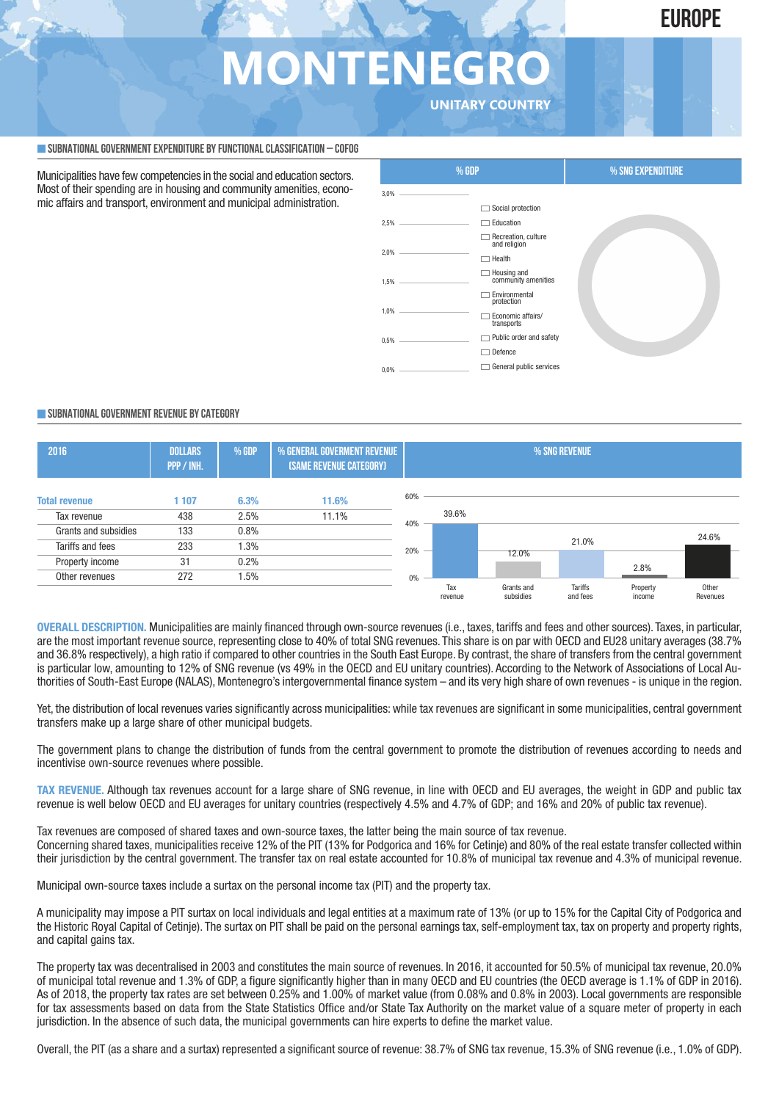## **EUROPE**

## **MONTENEGRO UNITARY COUNTRY**

**SUBNATIONALGOVERNMENTEXPENDITURE BYFUNCTIONALCLASSIFICATION – COFOG**

Municipalities have few competencies in the social and education sectors. Most of their spending are in housing and community amenities, economic affairs and transport, environment and municipal administration.



#### **SUBNATIONALGOVERNMENT REVENUE BYCATEGORY**



**OVERALL DESCRIPTION.** Municipalities are mainly financed through own-source revenues (i.e., taxes, tariffs and fees and other sources). Taxes, in particular, are the most important revenue source, representing close to 40% of total SNG revenues. This share is on par with OECD and EU28 unitary averages (38.7% and 36.8% respectively), a high ratio if compared to other countries in the South East Europe. By contrast, the share of transfers from the central government is particular low, amounting to 12% of SNG revenue (vs 49% in the OECD and EU unitary countries). According to the Network of Associations of Local Authorities of South-East Europe (NALAS), Montenegro's intergovernmental finance system – and its very high share of own revenues - is unique in the region.

Yet, the distribution of local revenues varies significantly across municipalities: while tax revenues are significant in some municipalities, central government transfers make up a large share of other municipal budgets.

The government plans to change the distribution of funds from the central government to promote the distribution of revenues according to needs and incentivise own-source revenues where possible.

**TAX REVENUE.** Although tax revenues account for a large share of SNG revenue, in line with OECD and EU averages, the weight in GDP and public tax revenue is well below OECD and EU averages for unitary countries (respectively 4.5% and 4.7% of GDP; and 16% and 20% of public tax revenue).

Tax revenues are composed of shared taxes and own-source taxes, the latter being the main source of tax revenue. Concerning shared taxes, municipalities receive 12% of the PIT (13% for Podgorica and 16% for Cetinje) and 80% of the real estate transfer collected within their jurisdiction by the central government. The transfer tax on real estate accounted for 10.8% of municipal tax revenue and 4.3% of municipal revenue.

Municipal own-source taxes include a surtax on the personal income tax (PIT) and the property tax.

A municipality may impose a PIT surtax on local individuals and legal entities at a maximum rate of 13% (or up to 15% for the Capital City of Podgorica and the Historic Royal Capital of Cetinje). The surtax on PIT shall be paid on the personal earnings tax, self-employment tax, tax on property and property rights, and capital gains tax.

The property tax was decentralised in 2003 and constitutes the main source of revenues. In 2016, it accounted for 50.5% of municipal tax revenue, 20.0% of municipal total revenue and 1.3% of GDP, a figure significantly higher than in many OECD and EU countries (the OECD average is 1.1% of GDP in 2016). As of 2018, the property tax rates are set between 0.25% and 1.00% of market value (from 0.08% and 0.8% in 2003). Local governments are responsible for tax assessments based on data from the State Statistics Office and/or State Tax Authority on the market value of a square meter of property in each jurisdiction. In the absence of such data, the municipal governments can hire experts to define the market value.

Overall, the PIT (as a share and a surtax) represented a significant source of revenue: 38.7% of SNG tax revenue, 15.3% of SNG revenue (i.e., 1.0% of GDP).